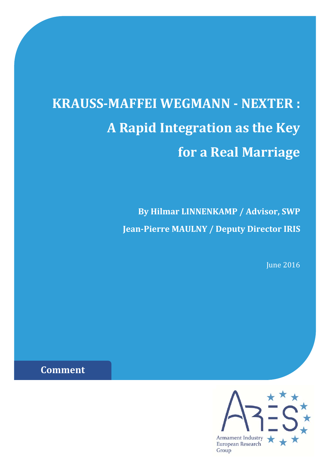# **KRAUSS‐MAFFEI WEGMANN ‐ NEXTER : A Rapid Integration as the Key for a Real Marriage**

**By Hilmar LINNENKAMP / Advisor, SWP Jean‐Pierre MAULNY / Deputy Director IRIS**

**June 2016** 

**Comment**

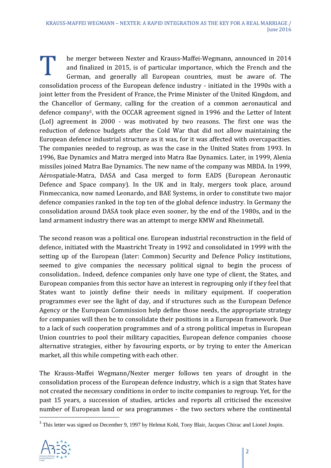T he merger between Nexter and Krauss-Maffei-Wegmann, announced in 2014<br>and finalized in 2015, is of particular importance, which the French and the<br>German, and generally all European countries, must be aware of. The and finalized in 2015, is of particular importance, which the French and the German, and generally all European countries, must be aware of. The consolidation process of the European defence industry - initiated in the 1990s with a joint letter from the President of France, the Prime Minister of the United Kingdom, and the Chancellor of Germany, calling for the creation of a common aeronautical and defence company<sup>1</sup>, with the OCCAR agreement signed in 1996 and the Letter of Intent (LoI) agreement in 2000 - was motivated by two reasons. The first one was the reduction of defence budgets after the Cold War that did not allow maintaining the European defence industrial structure as it was, for it was affected with overcapacities. The companies needed to regroup, as was the case in the United States from 1993. In 1996, Bae Dynamics and Matra merged into Matra Bae Dynamics. Later, in 1999, Alenia missiles joined Matra Bae Dynamics. The new name of the company was MBDA. In 1999, Aérospatiale-Matra, DASA and Casa merged to form EADS (European Aeronautic Defence and Space company). In the UK and in Italy, mergers took place, around Finmeccanica, now named Leonardo, and BAE Systems, in order to constitute two major defence companies ranked in the top ten of the global defence industry. In Germany the consolidation around DASA took place even sooner, by the end of the 1980s, and in the land armament industry there was an attempt to merge KMW and Rheinmetall.

The second reason was a political one. European industrial reconstruction in the field of defence, initiated with the Maastricht Treaty in 1992 and consolidated in 1999 with the setting up of the European (later: Common) Security and Defence Policy institutions, seemed to give companies the necessary political signal to begin the process of consolidation.. Indeed, defence companies only have one type of client, the States, and European companies from this sector have an interest in regrouping only if they feel that States want to jointly define their needs in military equipment. If cooperation programmes ever see the light of day, and if structures such as the European Defence Agency or the European Commission help define those needs, the appropriate strategy for companies will then be to consolidate their positions in a European framework. Due to a lack of such cooperation programmes and of a strong political impetus in European Union countries to pool their military capacities, European defence companies choose alternative strategies, either by favouring exports, or by trying to enter the American market, all this while competing with each other.

The Krauss-Maffei Wegmann/Nexter merger follows ten years of drought in the consolidation process of the European defence industry, which is a sign that States have not created the necessary conditions in order to incite companies to regroup. Yet, for the past 15 years, a succession of studies, articles and reports all criticised the excessive number of European land or sea programmes - the two sectors where the continental

<sup>&</sup>lt;sup>1</sup> This letter was signed on December 9, 1997 by Helmut Kohl, Tony Blair, Jacques Chirac and Lionel Jospin.

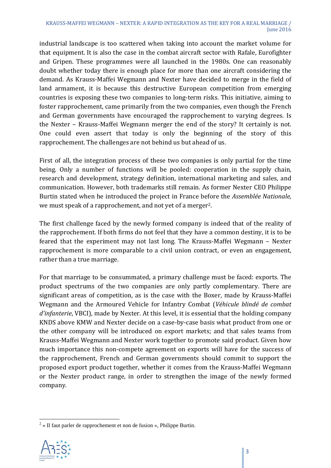industrial landscape is too scattered when taking into account the market volume for that equipment. It is also the case in the combat aircraft sector with Rafale, Eurofighter and Gripen. These programmes were all launched in the 1980s. One can reasonably doubt whether today there is enough place for more than one aircraft considering the demand. As Krauss-Maffei Wegmann and Nexter have decided to merge in the field of land armament, it is because this destructive European competition from emerging countries is exposing these two companies to long-term risks. This initiative, aiming to foster rapprochement, came primarily from the two companies, even though the French and German governments have encouraged the rapprochement to varying degrees. Is the Nexter – Krauss-Maffei Wegmann merger the end of the story? It certainly is not. One could even assert that today is only the beginning of the story of this rapprochement. The challenges are not behind us but ahead of us.

First of all, the integration process of these two companies is only partial for the time being. Only a number of functions will be pooled: cooperation in the supply chain, research and development, strategy definition, international marketing and sales, and communication. However, both trademarks still remain. As former Nexter CEO Philippe Burtin stated when he introduced the project in France before the *Assemblée Nationale*, we must speak of a rapprochement, and not yet of a merger<sup>2</sup>.

The first challenge faced by the newly formed company is indeed that of the reality of the rapprochement. If both firms do not feel that they have a common destiny, it is to be feared that the experiment may not last long. The Krauss-Maffei Wegmann – Nexter rapprochement is more comparable to a civil union contract, or even an engagement, rather than a true marriage.

For that marriage to be consummated, a primary challenge must be faced: exports. The product spectrums of the two companies are only partly complementary. There are significant areas of competition, as is the case with the Boxer, made by Krauss-Maffei Wegmann and the Armoured Vehicle for Infantry Combat (*Véhicule blindé de combat d'infanterie*, VBCI), made by Nexter. At this level, it is essential that the holding company KNDS above KMW and Nexter decide on a case-by-case basis what product from one or the other company will be introduced on export markets; and that sales teams from Krauss-Maffei Wegmann and Nexter work together to promote said product. Given how much importance this non-compete agreement on exports will have for the success of the rapprochement, French and German governments should commit to support the proposed export product together, whether it comes from the Krauss-Maffei Wegmann or the Nexter product range, in order to strengthen the image of the newly formed company. 

<sup>&</sup>lt;sup>2</sup> « Il faut parler de rapprochement et non de fusion », Philippe Burtin.

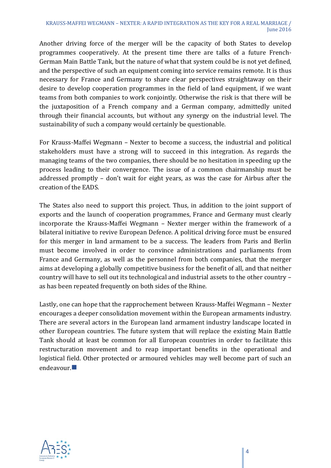Another driving force of the merger will be the capacity of both States to develop programmes cooperatively. At the present time there are talks of a future French-German Main Battle Tank, but the nature of what that system could be is not yet defined, and the perspective of such an equipment coming into service remains remote. It is thus necessary for France and Germany to share clear perspectives straightaway on their desire to develop cooperation programmes in the field of land equipment, if we want teams from both companies to work conjointly. Otherwise the risk is that there will be the juxtaposition of a French company and a German company, admittedly united through their financial accounts, but without any synergy on the industrial level. The sustainability of such a company would certainly be questionable.

For Krauss-Maffei Wegmann – Nexter to become a success, the industrial and political stakeholders must have a strong will to succeed in this integration. As regards the managing teams of the two companies, there should be no hesitation in speeding up the process leading to their convergence. The issue of a common chairmanship must be addressed promptly – don't wait for eight years, as was the case for Airbus after the creation of the EADS.

The States also need to support this project. Thus, in addition to the joint support of exports and the launch of cooperation programmes, France and Germany must clearly incorporate the Krauss-Maffei Wegmann – Nexter merger within the framework of a bilateral initiative to revive European Defence. A political driving force must be ensured for this merger in land armament to be a success. The leaders from Paris and Berlin must become involved in order to convince administrations and parliaments from France and Germany, as well as the personnel from both companies, that the merger aims at developing a globally competitive business for the benefit of all, and that neither country will have to sell out its technological and industrial assets to the other country as has been repeated frequently on both sides of the Rhine.

Lastly, one can hope that the rapprochement between Krauss-Maffei Wegmann – Nexter encourages a deeper consolidation movement within the European armaments industry. There are several actors in the European land armament industry landscape located in other European countries. The future system that will replace the existing Main Battle Tank should at least be common for all European countries in order to facilitate this restructuration movement and to reap important benefits in the operational and logistical field. Other protected or armoured vehicles may well become part of such an endeavour.